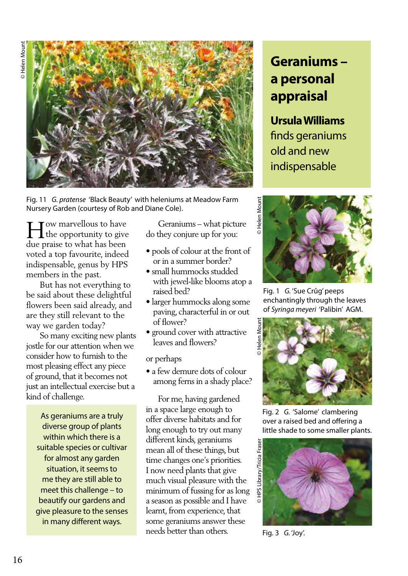

Fig. 11 *G. pratense* 'Black Beauty' with heleniums at Meadow Farm Nursery Garden (courtesy of Rob and Diane Cole).

ow marvellous to have the opportunity to give due praise to what has been voted a top favourite, indeed indispensable, genus by HPS members in the past. The opportunity to give they conjure up for you:<br>  $\begin{bmatrix} 1 & 1 & 1 \\ 1 & 1 & 1 \\ 1 & 1 & 1 \end{bmatrix}$ 

 But has not everything to be said about these delightful flowers been said already, and are they still relevant to the way we garden today?

 So many exciting new plants jostle for our attention when we consider how to furnish to the most pleasing effect any piece of ground, that it becomes not just an intellectual exercise but a kind of challenge.

As geraniums are a truly diverse group of plants within which there is a suitable species or cultivar for almost any garden situation, it seems to me they are still able to meet this challenge – to beautify our gardens and give pleasure to the senses in many different ways.

- pools of colour at the front of or in a summer border?
- small hummocks studded with jewel-like blooms atop a raised bed?
- larger hummocks along some paving, characterful in or out of flower?
- ground cover with attractive leaves and flowers?

or perhaps

• a few demure dots of colour among ferns in a shady place?

 For me, having gardened in a space large enough to offer diverse habitats and for long enough to try out many different kinds, geraniums mean all of these things, but time changes one's priorities. I now need plants that give much visual pleasure with the minimum of fussing for as long a season as possible and I have learnt, from experience, that some geraniums answer these needs better than others.

## **Geraniums – a personal appraisal**

## **Ursula Williams**

finds geraniums old and new indispensable



Fig. 1 *G.* 'Sue Crûg' peeps enchantingly through the leaves of *Syringa meyeri* 'Palibin' AGM.



Fig. 2 *G.* 'Salome' clambering over a raised bed and offering a little shade to some smaller plants.



Fig. 3 *G.* 'Joy'.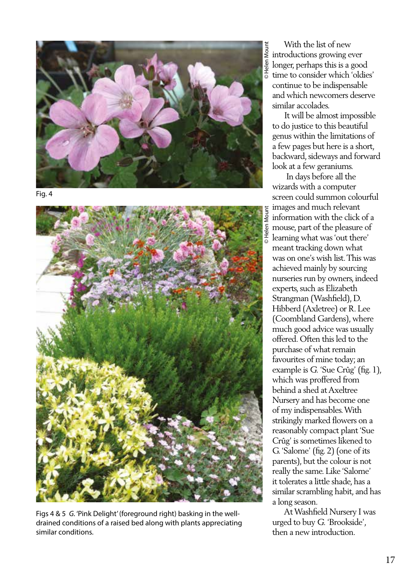

Fig. 4



Figs 4 & 5 *G.* 'Pink Delight' (foreground right) basking in the welldrained conditions of a raised bed along with plants appreciating similar conditions.

introductions growing ever longer, perhaps this is a good  $\overline{\bullet}$  time to consider which 'oldies' continue to be indispensable and which newcomers deserve similar accolades.

 It will be almost impossible to do justice to this beautiful genus within the limitations of a few pages but here is a short, backward, sideways and forward look at a few geraniums.

E<br>
With the list of new<br>  $\frac{1}{2}$  introductions growing ever<br>  $\frac{1}{2}$  longer, perhaps this is a g<br>
time to consider which "<br>
continue to be indispens<br>
and which newcomers d<br>
similar accolades.<br>
It will be almost imp<br>
t In days before all the wizards with a computer screen could summon colourful images and much relevant information with the click of a mouse, part of the pleasure of learning what was 'out there' meant tracking down what was on one's wish list. This was achieved mainly by sourcing nurseries run by owners, indeed experts, such as Elizabeth Strangman (Washfield), D. Hibberd (Axletree) or R. Lee (Coombland Gardens), where much good advice was usually offered. Often this led to the purchase of what remain favourites of mine today; an example is *G.* 'Sue Crûg' (fig. 1), which was proffered from behind a shed at Axeltree Nursery and has become one of my indispensables. With strikingly marked flowers on a reasonably compact plant 'Sue Crûg' is sometimes likened to G. 'Salome' (fig. 2) (one of its parents), but the colour is not really the same. Like 'Salome' it tolerates a little shade, has a similar scrambling habit, and has a long season.

 At Washfield Nursery I was urged to buy *G.* 'Brookside', then a new introduction.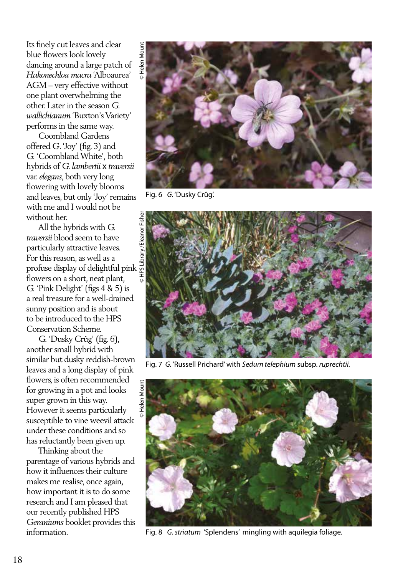Its finely cut leaves and clear blue flowers look lovely dancing around a large patch of *Hakonechloa macra* 'Alboaurea' AGM – very effective without one plant overwhelming the other. Later in the season *G. wallichianum* 'Buxton's Variety' performs in the same way.

 Coombland Gardens offered *G*. 'Joy' (fig. 3) and *G.* 'Coombland White', both hybrids of *G. lambertii* x *traversii*  var. *elegans*, both very long flowering with lovely blooms and leaves, but only 'Joy' remains with me and I would not be without her.

 All the hybrids with *G. traversii* blood seem to have particularly attractive leaves. For this reason, as well as a profuse display of delightful pink  $\frac{1}{8}$ flowers on a short, neat plant, *G.* 'Pink Delight' (figs 4 & 5) is a real treasure for a well-drained sunny position and is about to be introduced to the HPS Conservation Scheme.

 *G.* 'Dusky Crûg' (fig. 6), another small hybrid with similar but dusky reddish-brown leaves and a long display of pink flowers, is often recommended for growing in a pot and looks super grown in this way. However it seems particularly susceptible to vine weevil attack under these conditions and so has reluctantly been given up.

 Thinking about the parentage of various hybrids and how it influences their culture makes me realise, once again, how important it is to do some research and I am pleased that our recently published HPS *Geraniums* booklet provides this information.



Fig. 6 *G.* 'Dusky Crûg'.



Fig. 7 *G.* 'Russell Prichard' with *Sedum telephium* subsp. *ruprechtii.* 



Fig. 8 *G. striatum* 'Splendens' mingling with aquilegia foliage.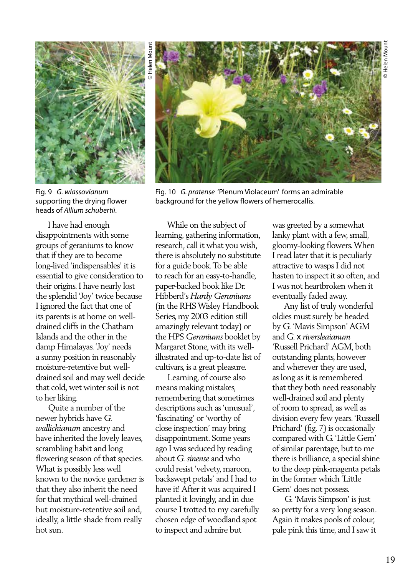

Fig. 9 *G. wlassovianum* supporting the drying flower heads of *Allium schubertii*.

 I have had enough disappointments with some groups of geraniums to know that if they are to become long-lived 'indispensables' it is essential to give consideration to their origins. I have nearly lost the splendid 'Joy' twice because I ignored the fact that one of its parents is at home on welldrained cliffs in the Chatham Islands and the other in the damp Himalayas. 'Joy' needs a sunny position in reasonably moisture-retentive but welldrained soil and may well decide that cold, wet winter soil is not to her liking.

 Quite a number of the newer hybrids have *G. wallichianum* ancestry and have inherited the lovely leaves, scrambling habit and long flowering season of that species. What is possibly less well known to the novice gardener is that they also inherit the need for that mythical well-drained but moisture-retentive soil and, ideally, a little shade from really hot sun.



Fig. 10 *G. pratense* 'Plenum Violaceum' forms an admirable background for the yellow flowers of hemerocallis.

 While on the subject of learning, gathering information, research, call it what you wish, there is absolutely no substitute for a guide book. To be able to reach for an easy-to-handle, paper-backed book like Dr. Hibberd's *Hardy Geraniums*  (in the RHS Wisley Handbook Series, my 2003 edition still amazingly relevant today) or the HPS *Geraniums* booklet by Margaret Stone, with its wellillustrated and up-to-date list of cultivars, is a great pleasure.

 Learning, of course also means making mistakes, remembering that sometimes descriptions such as 'unusual', 'fascinating' or 'worthy of close inspection' may bring disappointment. Some years ago I was seduced by reading about *G. sinense* and who could resist 'velvety, maroon, backswept petals' and I had to have it! After it was acquired I planted it lovingly, and in due course I trotted to my carefully chosen edge of woodland spot to inspect and admire but

was greeted by a somewhat lanky plant with a few, small, gloomy-looking flowers. When I read later that it is peculiarly attractive to wasps I did not hasten to inspect it so often, and I was not heartbroken when it eventually faded away.

 Any list of truly wonderful oldies must surely be headed by *G.* 'Mavis Simpson' AGM and *G.* x *riversleaianum*  'Russell Prichard' AGM, both outstanding plants, however and wherever they are used, as long as it is remembered that they both need reasonably well-drained soil and plenty of room to spread, as well as division every few years. 'Russell Prichard' (fig. 7) is occasionally compared with G. 'Little Gem' of similar parentage, but to me there is brilliance, a special shine to the deep pink-magenta petals in the former which 'Little Gem' does not possess.

 *G.* 'Mavis Simpson' is just so pretty for a very long season. Again it makes pools of colour, pale pink this time, and I saw it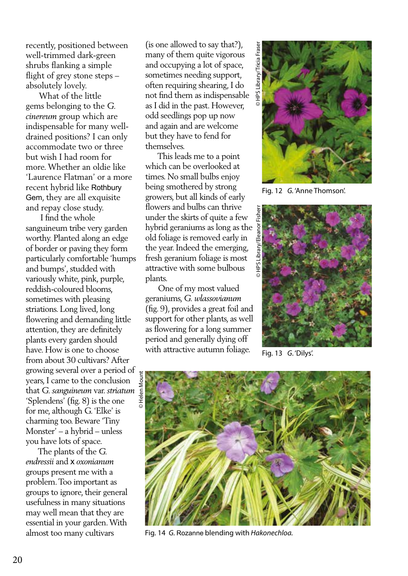recently, positioned between well-trimmed dark-green shrubs flanking a simple flight of grey stone steps – absolutely lovely.

 What of the little gems belonging to the *G. cinereum* group which are indispensable for many welldrained positions? I can only accommodate two or three but wish I had room for more. Whether an oldie like 'Laurence Flatman' or a more recent hybrid like Rothbury Gem, they are all exquisite and repay close study.

 I find the whole sanguineum tribe very garden worthy. Planted along an edge of border or paving they form particularly comfortable 'humps and bumps', studded with variously white, pink, purple, reddish-coloured blooms, sometimes with pleasing striations. Long lived, long flowering and demanding little attention, they are definitely plants every garden should have. How is one to choose from about 30 cultivars? After growing several over a period of years, I came to the conclusion that *G. sanguineum* var. *striatum*  'Splendens' (fig. 8) is the one for me, although G. 'Elke' is charming too. Beware 'Tiny Monster' – a hybrid – unless you have lots of space.

 The plants of the *G. endressii* and x *oxonianum*  groups present me with a problem. Too important as groups to ignore, their general usefulness in many situations may well mean that they are essential in your garden. With almost too many cultivars

(is one allowed to say that?), many of them quite vigorous and occupying a lot of space, sometimes needing support, often requiring shearing, I do not find them as indispensable as I did in the past. However, odd seedlings pop up now and again and are welcome but they have to fend for themselves.

 This leads me to a point which can be overlooked at times. No small bulbs enjoy being smothered by strong growers, but all kinds of early flowers and bulbs can thrive under the skirts of quite a few hybrid geraniums as long as the old foliage is removed early in the year. Indeed the emerging, fresh geranium foliage is most attractive with some bulbous plants.

 One of my most valued geraniums, *G. wlassovianum*  (fig. 9), provides a great foil and support for other plants, as well as flowering for a long summer period and generally dying off with attractive autumn foliage.



Fig. 12 *G.* 'Anne Thomson'.



Fig. 13 *G*. 'Dilys'.



Fig. 14 *G.* Rozanne blending with *Hakonechloa.*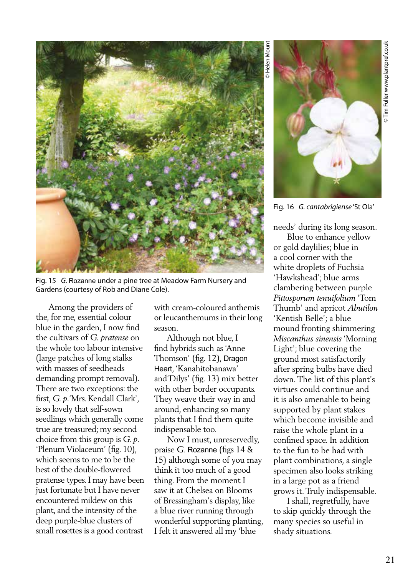

Fig. 15 *G.* Rozanne under a pine tree at Meadow Farm Nursery and Gardens (courtesy of Rob and Diane Cole).

 Among the providers of the, for me, essential colour blue in the garden, I now find the cultivars of *G. pratense* on the whole too labour intensive (large patches of long stalks with masses of seedheads demanding prompt removal). There are two exceptions: the first, *G. p*.'Mrs. Kendall Clark', is so lovely that self-sown seedlings which generally come true are treasured; my second choice from this group is *G. p*. 'Plenum Violaceum' (fig. 10), which seems to me to be the best of the double-flowered pratense types. I may have been just fortunate but I have never encountered mildew on this plant, and the intensity of the deep purple-blue clusters of small rosettes is a good contrast

with cream-coloured anthemis or leucanthemums in their long season.

 Although not blue, I find hybrids such as 'Anne Thomson' (fig. 12), Dragon Heart, 'Kanahitobanawa' and'Dilys' (fig. 13) mix better with other border occupants. They weave their way in and around, enhancing so many plants that I find them quite indispensable too.

 Now I must, unreservedly, praise *G.* Rozanne (figs 14 & 15) although some of you may think it too much of a good thing. From the moment I saw it at Chelsea on Blooms of Bressingham's display, like a blue river running through wonderful supporting planting, I felt it answered all my 'blue



Fig. 16 *G. cantabrigiense* 'St Ola'

needs' during its long season.

 Blue to enhance yellow or gold daylilies; blue in a cool corner with the white droplets of Fuchsia 'Hawkshead'; blue arms clambering between purple *Pittosporum tenuifolium* 'Tom Thumb' and apricot *Abutilon*  'Kentish Belle'; a blue mound fronting shimmering *Miscanthus sinensis* 'Morning Light'; blue covering the ground most satisfactorily after spring bulbs have died down. The list of this plant's virtues could continue and it is also amenable to being supported by plant stakes which become invisible and raise the whole plant in a confined space. In addition to the fun to be had with plant combinations, a single specimen also looks striking in a large pot as a friend grows it. Truly indispensable.

 I shall, regretfully, have to skip quickly through the many species so useful in shady situations.